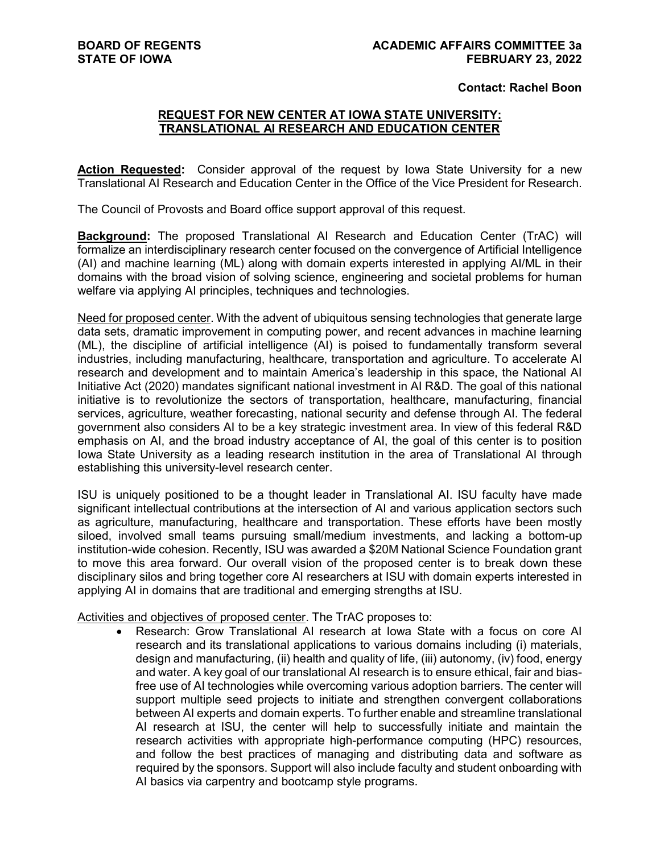## **Contact: Rachel Boon**

## **REQUEST FOR NEW CENTER AT IOWA STATE UNIVERSITY: TRANSLATIONAL AI RESEARCH AND EDUCATION CENTER**

**Action Requested:** Consider approval of the request by Iowa State University for a new Translational AI Research and Education Center in the Office of the Vice President for Research.

The Council of Provosts and Board office support approval of this request.

**Background:** The proposed Translational AI Research and Education Center (TrAC) will formalize an interdisciplinary research center focused on the convergence of Artificial Intelligence (AI) and machine learning (ML) along with domain experts interested in applying AI/ML in their domains with the broad vision of solving science, engineering and societal problems for human welfare via applying AI principles, techniques and technologies.

Need for proposed center. With the advent of ubiquitous sensing technologies that generate large data sets, dramatic improvement in computing power, and recent advances in machine learning (ML), the discipline of artificial intelligence (AI) is poised to fundamentally transform several industries, including manufacturing, healthcare, transportation and agriculture. To accelerate AI research and development and to maintain America's leadership in this space, the National AI Initiative Act (2020) mandates significant national investment in AI R&D. The goal of this national initiative is to revolutionize the sectors of transportation, healthcare, manufacturing, financial services, agriculture, weather forecasting, national security and defense through AI. The federal government also considers AI to be a key strategic investment area. In view of this federal R&D emphasis on AI, and the broad industry acceptance of AI, the goal of this center is to position Iowa State University as a leading research institution in the area of Translational AI through establishing this university-level research center.

ISU is uniquely positioned to be a thought leader in Translational AI. ISU faculty have made significant intellectual contributions at the intersection of AI and various application sectors such as agriculture, manufacturing, healthcare and transportation. These efforts have been mostly siloed, involved small teams pursuing small/medium investments, and lacking a bottom-up institution-wide cohesion. Recently, ISU was awarded a \$20M National Science Foundation grant to move this area forward. Our overall vision of the proposed center is to break down these disciplinary silos and bring together core AI researchers at ISU with domain experts interested in applying AI in domains that are traditional and emerging strengths at ISU.

Activities and objectives of proposed center. The TrAC proposes to:

• Research: Grow Translational AI research at Iowa State with a focus on core AI research and its translational applications to various domains including (i) materials, design and manufacturing, (ii) health and quality of life, (iii) autonomy, (iv) food, energy and water. A key goal of our translational AI research is to ensure ethical, fair and biasfree use of AI technologies while overcoming various adoption barriers. The center will support multiple seed projects to initiate and strengthen convergent collaborations between AI experts and domain experts. To further enable and streamline translational AI research at ISU, the center will help to successfully initiate and maintain the research activities with appropriate high-performance computing (HPC) resources, and follow the best practices of managing and distributing data and software as required by the sponsors. Support will also include faculty and student onboarding with AI basics via carpentry and bootcamp style programs.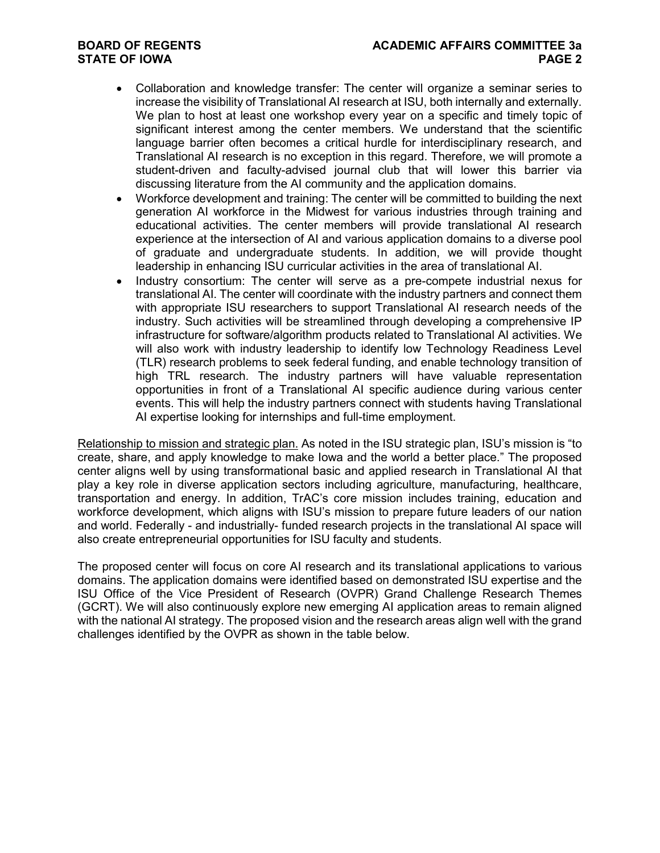## **STATE OF IOWA**

- Collaboration and knowledge transfer: The center will organize a seminar series to increase the visibility of Translational AI research at ISU, both internally and externally. We plan to host at least one workshop every year on a specific and timely topic of significant interest among the center members. We understand that the scientific language barrier often becomes a critical hurdle for interdisciplinary research, and Translational AI research is no exception in this regard. Therefore, we will promote a student-driven and faculty-advised journal club that will lower this barrier via discussing literature from the AI community and the application domains.
- Workforce development and training: The center will be committed to building the next generation AI workforce in the Midwest for various industries through training and educational activities. The center members will provide translational AI research experience at the intersection of AI and various application domains to a diverse pool of graduate and undergraduate students. In addition, we will provide thought leadership in enhancing ISU curricular activities in the area of translational AI.
- Industry consortium: The center will serve as a pre-compete industrial nexus for translational AI. The center will coordinate with the industry partners and connect them with appropriate ISU researchers to support Translational AI research needs of the industry. Such activities will be streamlined through developing a comprehensive IP infrastructure for software/algorithm products related to Translational AI activities. We will also work with industry leadership to identify low Technology Readiness Level (TLR) research problems to seek federal funding, and enable technology transition of high TRL research. The industry partners will have valuable representation opportunities in front of a Translational AI specific audience during various center events. This will help the industry partners connect with students having Translational AI expertise looking for internships and full-time employment.

Relationship to mission and strategic plan. As noted in the ISU strategic plan, ISU's mission is "to create, share, and apply knowledge to make Iowa and the world a better place." The proposed center aligns well by using transformational basic and applied research in Translational AI that play a key role in diverse application sectors including agriculture, manufacturing, healthcare, transportation and energy. In addition, TrAC's core mission includes training, education and workforce development, which aligns with ISU's mission to prepare future leaders of our nation and world. Federally - and industrially- funded research projects in the translational AI space will also create entrepreneurial opportunities for ISU faculty and students.

The proposed center will focus on core AI research and its translational applications to various domains. The application domains were identified based on demonstrated ISU expertise and the ISU Office of the Vice President of Research (OVPR) Grand Challenge Research Themes (GCRT). We will also continuously explore new emerging AI application areas to remain aligned with the national AI strategy. The proposed vision and the research areas align well with the grand challenges identified by the OVPR as shown in the table below.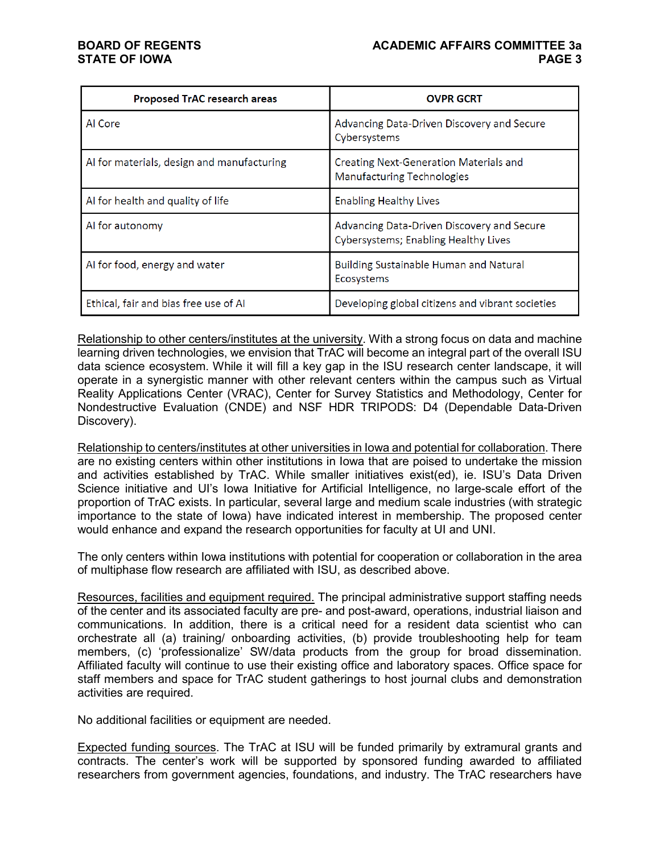| <b>Proposed TrAC research areas</b>        | <b>OVPR GCRT</b>                                                                          |  |
|--------------------------------------------|-------------------------------------------------------------------------------------------|--|
| Al Core                                    | Advancing Data-Driven Discovery and Secure<br>Cybersystems                                |  |
| Al for materials, design and manufacturing | Creating Next-Generation Materials and<br><b>Manufacturing Technologies</b>               |  |
| Al for health and quality of life          | <b>Enabling Healthy Lives</b>                                                             |  |
| Al for autonomy                            | Advancing Data-Driven Discovery and Secure<br><b>Cybersystems; Enabling Healthy Lives</b> |  |
| Al for food, energy and water              | Building Sustainable Human and Natural<br>Ecosystems                                      |  |
| Ethical, fair and bias free use of Al      | Developing global citizens and vibrant societies                                          |  |

Relationship to other centers/institutes at the university. With a strong focus on data and machine learning driven technologies, we envision that TrAC will become an integral part of the overall ISU data science ecosystem. While it will fill a key gap in the ISU research center landscape, it will operate in a synergistic manner with other relevant centers within the campus such as Virtual Reality Applications Center (VRAC), Center for Survey Statistics and Methodology, Center for Nondestructive Evaluation (CNDE) and NSF HDR TRIPODS: D4 (Dependable Data-Driven Discovery).

Relationship to centers/institutes at other universities in Iowa and potential for collaboration. There are no existing centers within other institutions in Iowa that are poised to undertake the mission and activities established by TrAC. While smaller initiatives exist(ed), ie. ISU's Data Driven Science initiative and UI's Iowa Initiative for Artificial Intelligence, no large-scale effort of the proportion of TrAC exists. In particular, several large and medium scale industries (with strategic importance to the state of Iowa) have indicated interest in membership. The proposed center would enhance and expand the research opportunities for faculty at UI and UNI.

The only centers within Iowa institutions with potential for cooperation or collaboration in the area of multiphase flow research are affiliated with ISU, as described above.

Resources, facilities and equipment required. The principal administrative support staffing needs of the center and its associated faculty are pre- and post-award, operations, industrial liaison and communications. In addition, there is a critical need for a resident data scientist who can orchestrate all (a) training/ onboarding activities, (b) provide troubleshooting help for team members, (c) 'professionalize' SW/data products from the group for broad dissemination. Affiliated faculty will continue to use their existing office and laboratory spaces. Office space for staff members and space for TrAC student gatherings to host journal clubs and demonstration activities are required.

No additional facilities or equipment are needed.

Expected funding sources. The TrAC at ISU will be funded primarily by extramural grants and contracts. The center's work will be supported by sponsored funding awarded to affiliated researchers from government agencies, foundations, and industry. The TrAC researchers have